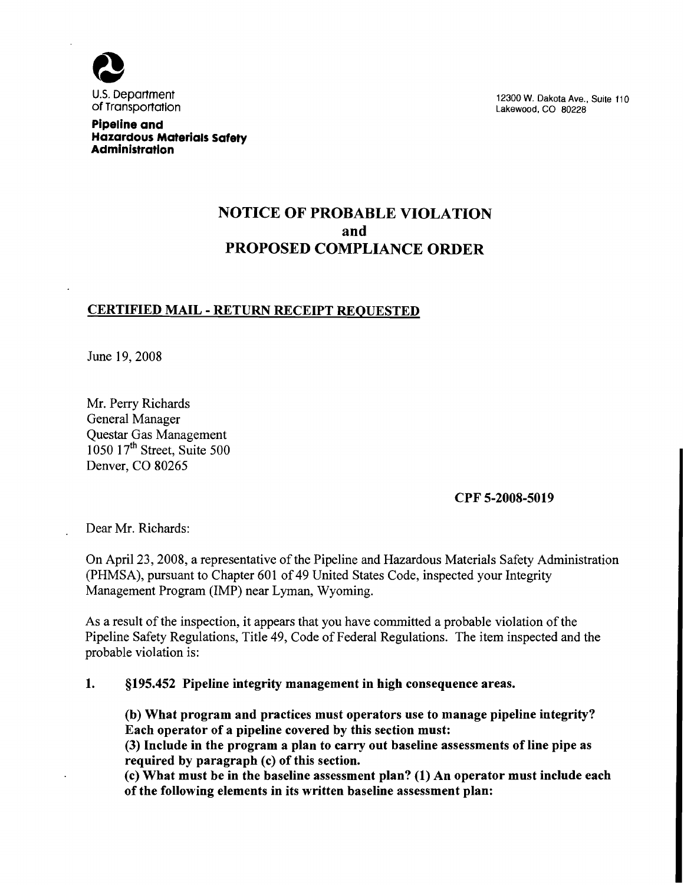

**Pipeline and Hazardous Materials Safety Administration** 

12300 W. **Dakota Ave., Suite** 110 **Lakewood,** CO 80228

# NOTICE OF PROBABLE VIOLATION and PROPOSED COMPLIANCE ORDER

### CERTIFIED MAIL - RETURN RECEIPT REQUESTED

June 19,2008

Mr. Perry Richards General Manager Questar Gas Management 1050 1 **7th** street, Suite 500 Denver, CO 80265

CPF 5-2008-5019

Dear Mr. Richards:

On April 23,2008, a representative of the Pipeline and Hazardous Materials Safety Administration (PHMSA), pursuant to Chapter 601 of 49 United States Code, inspected your Integrity Management Program (IMP) near Lyman, Wyoming.

As a result of the inspection, it appears that you have committed a probable violation of the Pipeline Safety Regulations, Title 49, Code of Federal Regulations. The item inspected and the probable violation is:

1. 5195.452 Pipeline integrity management in high consequence areas.

(b) What program and practices must operators use to manage pipeline integrity? Each operator of a pipeline covered by this section must:

(3) Include in the program a plan to carry out baseline assessments of line pipe as required by paragraph (c) of this section.

(c) What must be in the baseline assessment plan? (1) An operator must include each of the following elements in its written baseline assessment plan: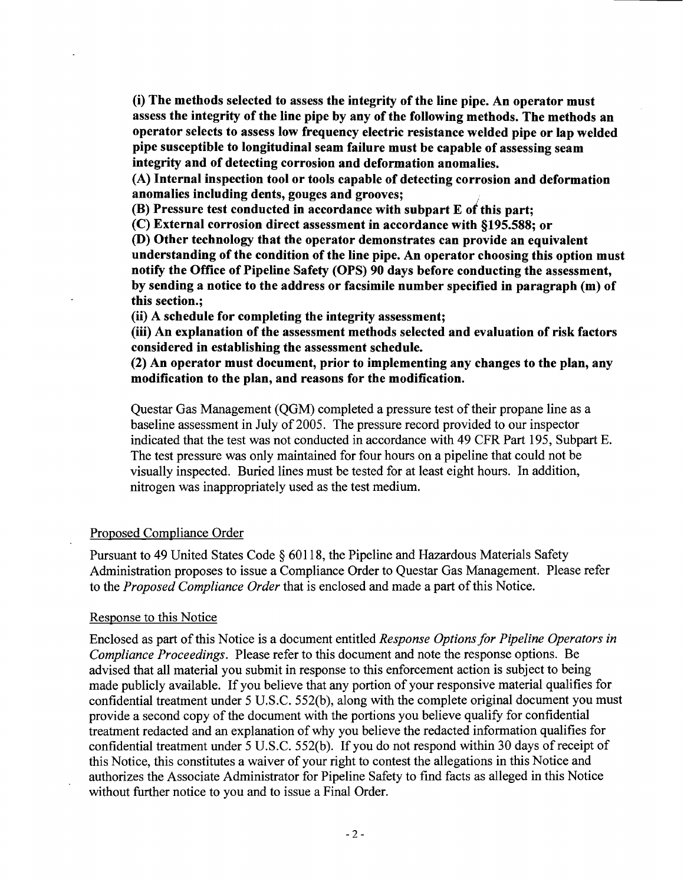(i) The methods selected to assess the integrity of the line pipe. An operator must assess the integrity of the line pipe by any of the following methods. The methods an operator selects to assess low frequency electric resistance welded pipe or lap welded pipe susceptible to longitudinal seam failure must be capable of assessing seam integrity and of detecting corrosion and deformation anomalies.

(A) Internal inspection tool or tools capable of detecting corrosion and deformation anomalies including dents, gouges and grooves;

(B) Pressure test conducted in accordance with subpart E of this part;

(C) External corrosion direct assessment in accordance with 5195.588; or

(D) Other technology that the operator demonstrates can provide an equivalent understanding of the condition of the line pipe. An operator choosing this option must notify the Office of Pipeline Safety (OPS) 90 days before conducting the assessment, by sending a notice to the address or facsimile number specified in paragraph (m) of this section.;

(ii) A schedule for completing the integrity assessment;

(iii) An explanation of the assessment methods selected and evaluation of risk factors considered in establishing the assessment schedule.

(2) An operator must document, prior to implementing any changes to the plan, any modification to the plan, and reasons for the modification.

Questar Gas Management (QGM) completed a pressure test of their propane line as a baseline assessment in July of 2005. The pressure record provided to our inspector indicated that the test was not conducted in accordance with 49 CFR Part 195, Subpart E. The test pressure was only maintained for four hours on a pipeline that could not be visually inspected. Buried lines must be tested for at least eight hours. In addition, nitrogen was inappropriately used as the test medium.

### Proposed Compliance Order

Pursuant to 49 United States Code § 60118, the Pipeline and Hazardous Materials Safety Administration proposes to issue a Compliance Order to Questar Gas Management. Please refer to the *Proposed Compliance Order* that is enclosed and made a part of this Notice.

#### Response to this Notice

Enclosed as part of this Notice is a document entitled *Response Options for Pipeline Operators in Compliance Proceedings.* Please refer to this document and note the response options. Be advised that all material you submit in response to this enforcement action is subject to being made publicly available. If you believe that any portion of your responsive material qualifies for confidential treatment under 5 U.S.C. 552(b), along with the complete original document you must provide a second copy of the document with the portions you believe qualify for confidential treatment redacted and an explanation of why you believe the redacted information qualifies for confidential treatment under 5 U.S.C. 552(b). If you do not respond within 30 days of receipt of this Notice, this constitutes a waiver of your right to contest the allegations in this Notice and authorizes the Associate Administrator for Pipeline Safety to find facts as alleged in this Notice without further notice to you and to issue a Final Order.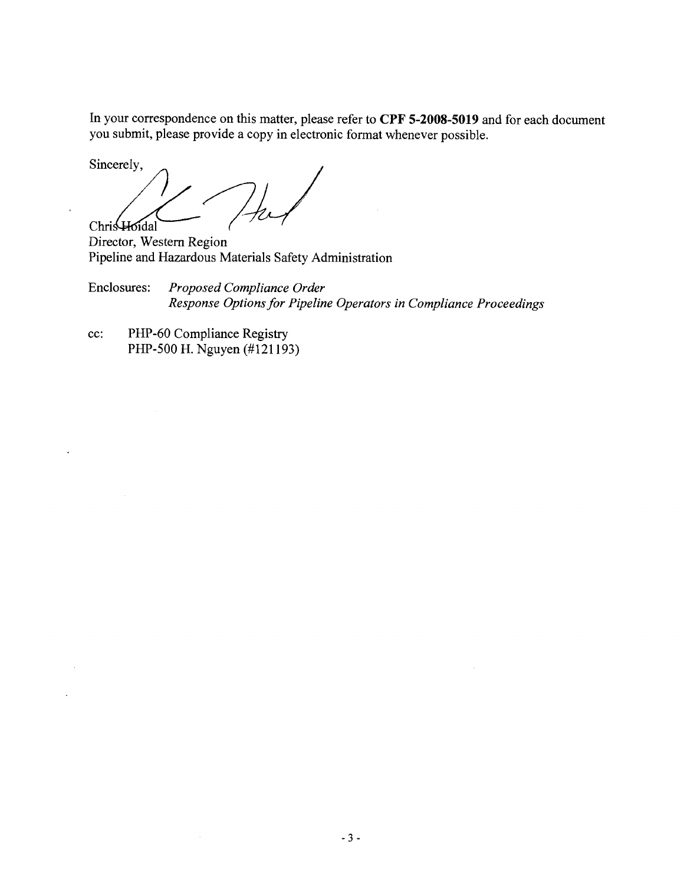In your correspondence on this matter, please refer to CPF **5-2008-5019** and for each document you submit, please provide a copy in electronic format whenever possible.

Sincerely, Chris Hoidal

Director, Western Region Pipeline and Hazardous Materials Safety Administration

Enclosures: *Proposed Compliance Order Response Options for Pipeline Operators in Compliance Proceedings* 

cc: PHP-60 Compliance Registry PHP-500 H. Nguyen (#I21 193)